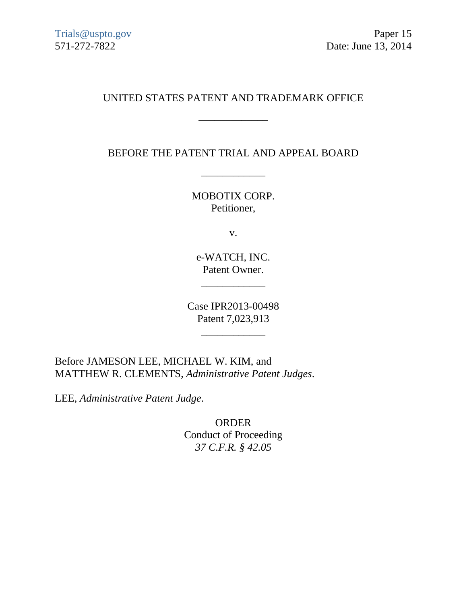## UNITED STATES PATENT AND TRADEMARK OFFICE

\_\_\_\_\_\_\_\_\_\_\_\_\_

BEFORE THE PATENT TRIAL AND APPEAL BOARD

\_\_\_\_\_\_\_\_\_\_\_\_

MOBOTIX CORP. Petitioner,

v.

e-WATCH, INC. Patent Owner.

\_\_\_\_\_\_\_\_\_\_\_\_

Case IPR2013-00498 Patent 7,023,913

\_\_\_\_\_\_\_\_\_\_\_\_

Before JAMESON LEE, MICHAEL W. KIM, and MATTHEW R. CLEMENTS, *Administrative Patent Judges*.

LEE*, Administrative Patent Judge*.

ORDER Conduct of Proceeding *37 C.F.R. § 42.05*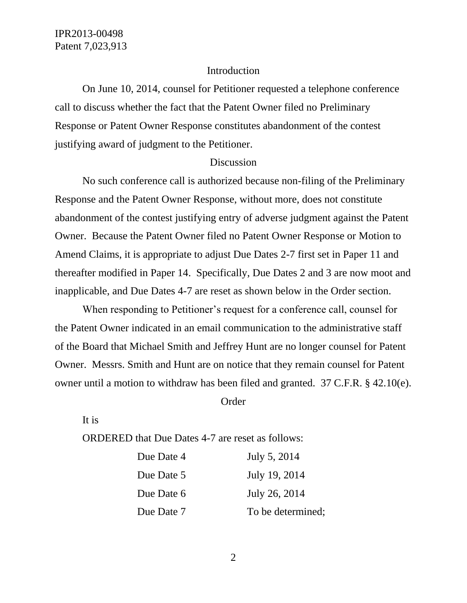## Introduction

On June 10, 2014, counsel for Petitioner requested a telephone conference call to discuss whether the fact that the Patent Owner filed no Preliminary Response or Patent Owner Response constitutes abandonment of the contest justifying award of judgment to the Petitioner.

## Discussion

No such conference call is authorized because non-filing of the Preliminary Response and the Patent Owner Response, without more, does not constitute abandonment of the contest justifying entry of adverse judgment against the Patent Owner. Because the Patent Owner filed no Patent Owner Response or Motion to Amend Claims, it is appropriate to adjust Due Dates 2-7 first set in Paper 11 and thereafter modified in Paper 14. Specifically, Due Dates 2 and 3 are now moot and inapplicable, and Due Dates 4-7 are reset as shown below in the Order section.

When responding to Petitioner's request for a conference call, counsel for the Patent Owner indicated in an email communication to the administrative staff of the Board that Michael Smith and Jeffrey Hunt are no longer counsel for Patent Owner. Messrs. Smith and Hunt are on notice that they remain counsel for Patent owner until a motion to withdraw has been filed and granted. 37 C.F.R. § 42.10(e).

Order

It is

ORDERED that Due Dates 4-7 are reset as follows:

| Due Date 4 | July 5, 2014      |
|------------|-------------------|
| Due Date 5 | July 19, 2014     |
| Due Date 6 | July 26, 2014     |
| Due Date 7 | To be determined; |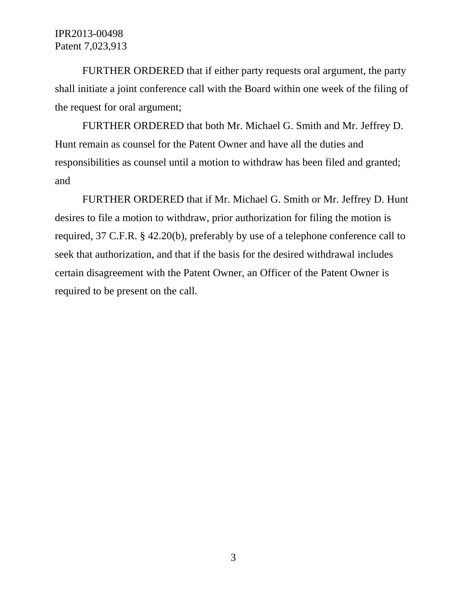FURTHER ORDERED that if either party requests oral argument, the party shall initiate a joint conference call with the Board within one week of the filing of the request for oral argument;

FURTHER ORDERED that both Mr. Michael G. Smith and Mr. Jeffrey D. Hunt remain as counsel for the Patent Owner and have all the duties and responsibilities as counsel until a motion to withdraw has been filed and granted; and

FURTHER ORDERED that if Mr. Michael G. Smith or Mr. Jeffrey D. Hunt desires to file a motion to withdraw, prior authorization for filing the motion is required, 37 C.F.R. § 42.20(b), preferably by use of a telephone conference call to seek that authorization, and that if the basis for the desired withdrawal includes certain disagreement with the Patent Owner, an Officer of the Patent Owner is required to be present on the call.